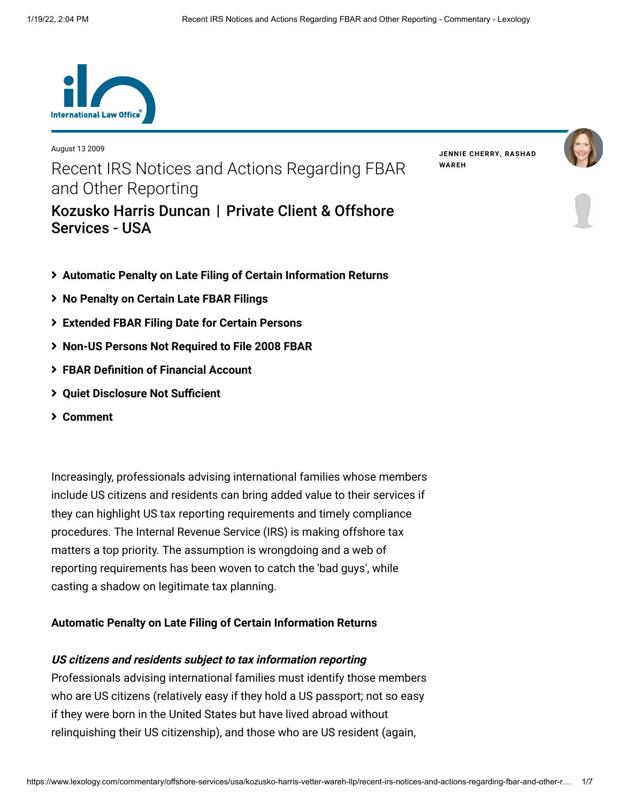

August 13 2009 Recent IRS Notices and Actions Regarding FBAR and Other Reporting [Kozusko Harris Duncan](https://www.lexology.com/contributors/23364) | Private Client & Offshore Services - USA

**JENNIE [CHERRY](https://www.lexology.com/23364/author/Jennie_Cherry/)[,](https://www.lexology.com/23364/author/Rashad_Wareh/) RASHAD WAREH**





- <span id="page-0-0"></span>**[Automatic Penalty on Late Filing of Certain Information Returns](#page-0-0)**
- **[No Penalty on Certain Late FBAR Filings](#page-0-0)**
- **[Extended FBAR Filing Date for Certain Persons](#page-2-0)**
- **[Non-US Persons Not Required to File 2008 FBAR](#page-2-1)**
- **[FBAR Definition of Financial Account](#page-3-0)**
- **[Quiet Disclosure Not Sufficient](#page-4-0)**
- **[Comment](#page-4-0)**

Increasingly, professionals advising international families whose members include US citizens and residents can bring added value to their services if they can highlight US tax reporting requirements and timely compliance procedures. The Internal Revenue Service (IRS) is making offshore tax matters a top priority. The assumption is wrongdoing and a web of reporting requirements has been woven to catch the 'bad guys', while casting a shadow on legitimate tax planning.

# **Automatic Penalty on Late Filing of Certain Information Returns**

## **US citizens and residents subject to tax information reporting**

Professionals advising international families must identify those members who are US citizens (relatively easy if they hold a US passport; not so easy if they were born in the United States but have lived abroad without relinquishing their US citizenship), and those who are US resident (again,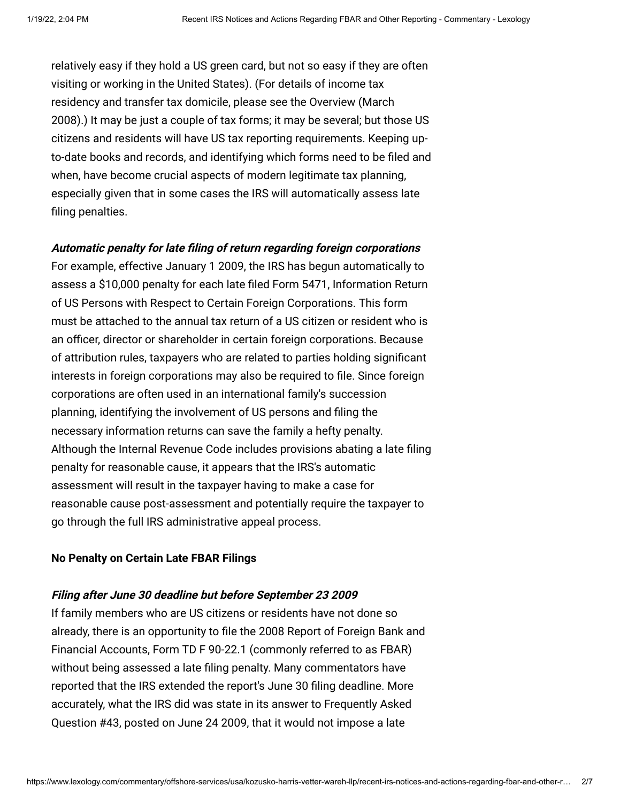relatively easy if they hold a US green card, but not so easy if they are often visiting or working in the United States). (For details of income tax residency and transfer tax domicile, please see the Overview (March [2008\).\) It may be just a couple of tax forms; it may be several; but tho](http://www.internationallawoffice.com/Newsletters/detail.aspx?g=559c31e6-a3f7-4cd8-9340-e15e6c077bb2)se US citizens and residents will have US tax reporting requirements. Keeping upto-date books and records, and identifying which forms need to be filed and when, have become crucial aspects of modern legitimate tax planning, especially given that in some cases the IRS will automatically assess late filing penalties.

#### **Automatic penalty for late filing of return regarding foreign corporations**

For example, effective January 1 2009, the IRS has begun automatically to assess a \$10,000 penalty for each late filed Form 5471, Information Return of US Persons with Respect to Certain Foreign Corporations. This form must be attached to the annual tax return of a US citizen or resident who is an officer, director or shareholder in certain foreign corporations. Because of attribution rules, taxpayers who are related to parties holding significant interests in foreign corporations may also be required to file. Since foreign corporations are often used in an international family's succession planning, identifying the involvement of US persons and filing the necessary information returns can save the family a hefty penalty. Although the Internal Revenue Code includes provisions abating a late filing penalty for reasonable cause, it appears that the IRS's automatic assessment will result in the taxpayer having to make a case for reasonable cause post-assessment and potentially require the taxpayer to go through the full IRS administrative appeal process.

#### **No Penalty on Certain Late FBAR Filings**

#### **Filing after June 30 deadline but before September 23 2009**

If family members who are US citizens or residents have not done so already, there is an opportunity to file the 2008 Report of Foreign Bank and Financial Accounts, Form TD F 90-22.1 (commonly referred to as FBAR) without being assessed a late filing penalty. Many commentators have reported that the IRS extended the report's June 30 filing deadline. More accurately, what the IRS did was state in its answer to Frequently Asked Question #43, posted on June 24 2009, that it would not impose a late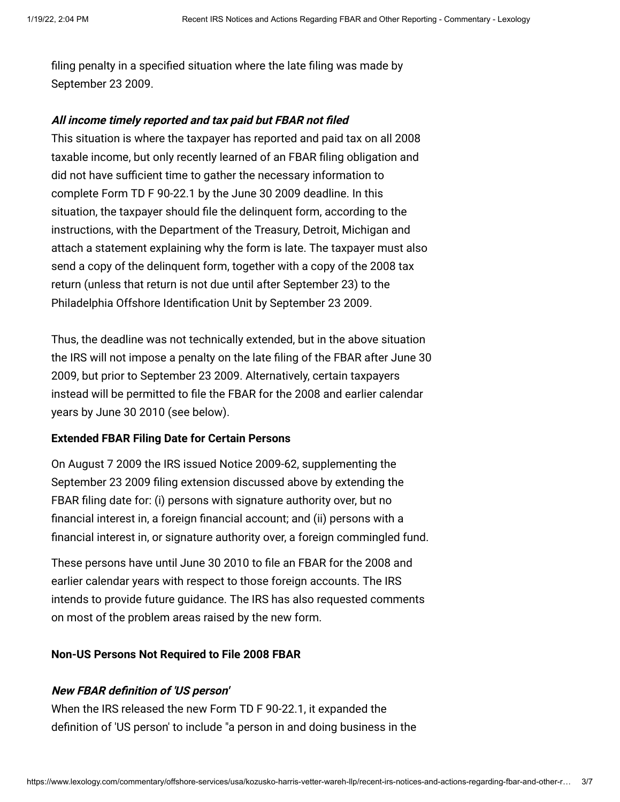filing penalty in a specified situation where the late filing was made by September 23 2009.

## **All income timely reported and tax paid but FBAR not filed**

This situation is where the taxpayer has reported and paid tax on all 2008 taxable income, but only recently learned of an FBAR filing obligation and did not have sufficient time to gather the necessary information to complete Form TD F 90-22.1 by the June 30 2009 deadline. In this situation, the taxpayer should file the delinquent form, according to the instructions, with the Department of the Treasury, Detroit, Michigan and attach a statement explaining why the form is late. The taxpayer must also send a copy of the delinquent form, together with a copy of the 2008 tax return (unless that return is not due until after September 23) to the Philadelphia Offshore Identification Unit by September 23 2009.

Thus, the deadline was not technically extended, but in the above situation the IRS will not impose a penalty on the late filing of the FBAR after June 30 2009, but prior to September 23 2009. Alternatively, certain taxpayers instead will be permitted to file the FBAR for the 2008 and earlier calendar years by June 30 2010 (see below).

## <span id="page-2-0"></span>**Extended FBAR Filing Date for Certain Persons**

On August 7 2009 the IRS issued Notice 2009-62, supplementing the September 23 2009 filing extension discussed above by extending the FBAR filing date for: (i) persons with signature authority over, but no financial interest in, a foreign financial account; and (ii) persons with a financial interest in, or signature authority over, a foreign commingled fund.

<span id="page-2-1"></span>These persons have until June 30 2010 to file an FBAR for the 2008 and earlier calendar years with respect to those foreign accounts. The IRS intends to provide future guidance. The IRS has also requested comments on most of the problem areas raised by the new form.

## **Non-US Persons Not Required to File 2008 FBAR**

## **New FBAR definition of 'US person'**

When the IRS released the new Form TD F 90-22.1, it expanded the definition of 'US person' to include "a person in and doing business in the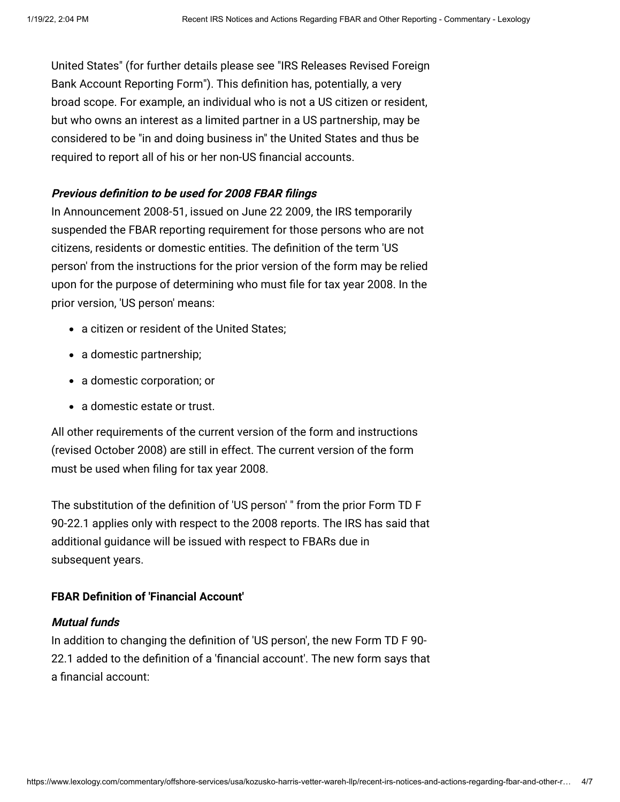[United States" \(for further details please see "IRS Releases Revised Foreign](http://www.internationallawoffice.com/Newsletters/detail.aspx?g=f758dc86-955c-48c5-adf2-8b464b461a5d) Bank Account Reporting Form"). This definition has, potentially, a very broad scope. For example, an individual who is not a US citizen or resident, but who owns an interest as a limited partner in a US partnership, may be considered to be "in and doing business in" the United States and thus be required to report all of his or her non-US financial accounts.

## **Previous definition to be used for 2008 FBAR filings**

In Announcement 2008-51, issued on June 22 2009, the IRS temporarily suspended the FBAR reporting requirement for those persons who are not citizens, residents or domestic entities. The definition of the term 'US person' from the instructions for the prior version of the form may be relied upon for the purpose of determining who must file for tax year 2008. In the prior version, 'US person' means:

- a citizen or resident of the United States:
- a domestic partnership;
- a domestic corporation; or
- a domestic estate or trust.

<span id="page-3-0"></span>All other requirements of the current version of the form and instructions (revised October 2008) are still in effect. The current version of the form must be used when filing for tax year 2008.

The substitution of the definition of 'US person' " from the prior Form TD F 90-22.1 applies only with respect to the 2008 reports. The IRS has said that additional guidance will be issued with respect to FBARs due in subsequent years.

# **FBAR Definition of 'Financial Account'**

# **Mutual funds**

In addition to changing the definition of 'US person', the new Form TD F 90- 22.1 added to the definition of a 'financial account'. The new form says that a financial account: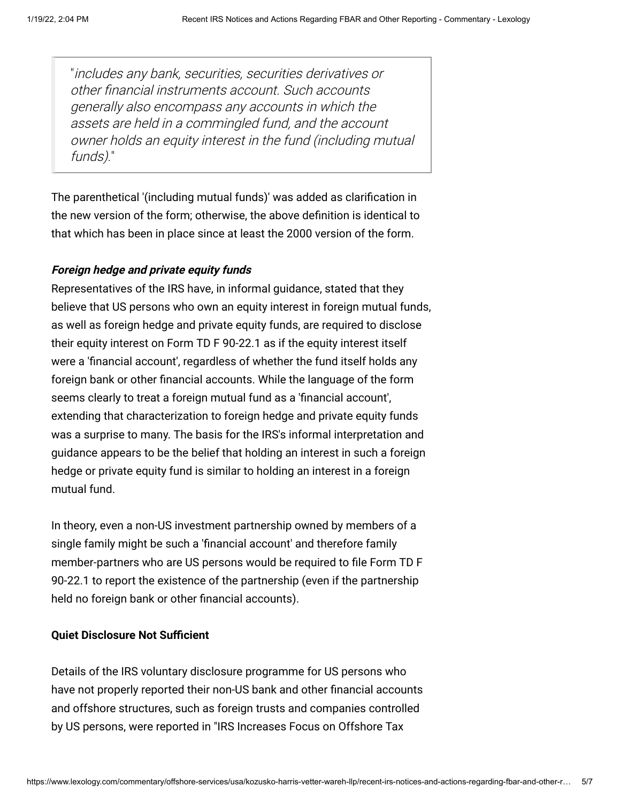"includes any bank, securities, securities derivatives or other financial instruments account. Such accounts generally also encompass any accounts in which the assets are held in a commingled fund, and the account owner holds an equity interest in the fund (including mutual funds)."

<span id="page-4-0"></span>The parenthetical '(including mutual funds)' was added as clarification in the new version of the form; otherwise, the above definition is identical to that which has been in place since at least the 2000 version of the form.

## **Foreign hedge and private equity funds**

Representatives of the IRS have, in informal guidance, stated that they believe that US persons who own an equity interest in foreign mutual funds, as well as foreign hedge and private equity funds, are required to disclose their equity interest on Form TD F 90-22.1 as if the equity interest itself were a 'financial account', regardless of whether the fund itself holds any foreign bank or other financial accounts. While the language of the form seems clearly to treat a foreign mutual fund as a 'financial account', extending that characterization to foreign hedge and private equity funds was a surprise to many. The basis for the IRS's informal interpretation and guidance appears to be the belief that holding an interest in such a foreign hedge or private equity fund is similar to holding an interest in a foreign mutual fund.

In theory, even a non-US investment partnership owned by members of a single family might be such a 'financial account' and therefore family member-partners who are US persons would be required to file Form TD F 90-22.1 to report the existence of the partnership (even if the partnership held no foreign bank or other financial accounts).

## **Quiet Disclosure Not Sufficient**

Details of the IRS voluntary disclosure programme for US persons who have not properly reported their non-US bank and other financial accounts and offshore structures, such as foreign trusts and companies controlled [by US persons, were reported in "IRS Increases Focus on Offshore Tax](http://www.internationallawoffice.com/Newsletters/detail.aspx?g=330dfbdb-d3e7-48da-bf56-d08c1ee10f20)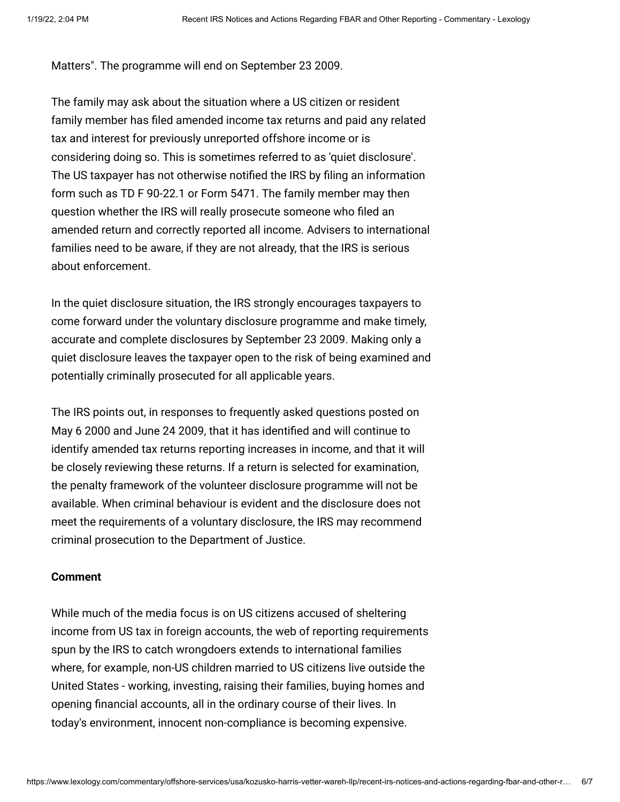[Matters". The programme will end on September 23 2009.](http://www.internationallawoffice.com/Newsletters/detail.aspx?g=330dfbdb-d3e7-48da-bf56-d08c1ee10f20) 

The family may ask about the situation where a US citizen or resident family member has filed amended income tax returns and paid any related tax and interest for previously unreported offshore income or is considering doing so. This is sometimes referred to as 'quiet disclosure'. The US taxpayer has not otherwise notified the IRS by filing an information form such as TD F 90-22.1 or Form 5471. The family member may then question whether the IRS will really prosecute someone who filed an amended return and correctly reported all income. Advisers to international families need to be aware, if they are not already, that the IRS is serious about enforcement.

In the quiet disclosure situation, the IRS strongly encourages taxpayers to come forward under the voluntary disclosure programme and make timely, accurate and complete disclosures by September 23 2009. Making only a quiet disclosure leaves the taxpayer open to the risk of being examined and potentially criminally prosecuted for all applicable years.

The IRS points out, in responses to frequently asked questions posted on May 6 2000 and June 24 2009, that it has identified and will continue to identify amended tax returns reporting increases in income, and that it will be closely reviewing these returns. If a return is selected for examination, the penalty framework of the volunteer disclosure programme will not be available. When criminal behaviour is evident and the disclosure does not meet the requirements of a voluntary disclosure, the IRS may recommend criminal prosecution to the Department of Justice.

## **Comment**

While much of the media focus is on US citizens accused of sheltering income from US tax in foreign accounts, the web of reporting requirements spun by the IRS to catch wrongdoers extends to international families where, for example, non-US children married to US citizens live outside the United States - working, investing, raising their families, buying homes and opening financial accounts, all in the ordinary course of their lives. In today's environment, innocent non-compliance is becoming expensive.